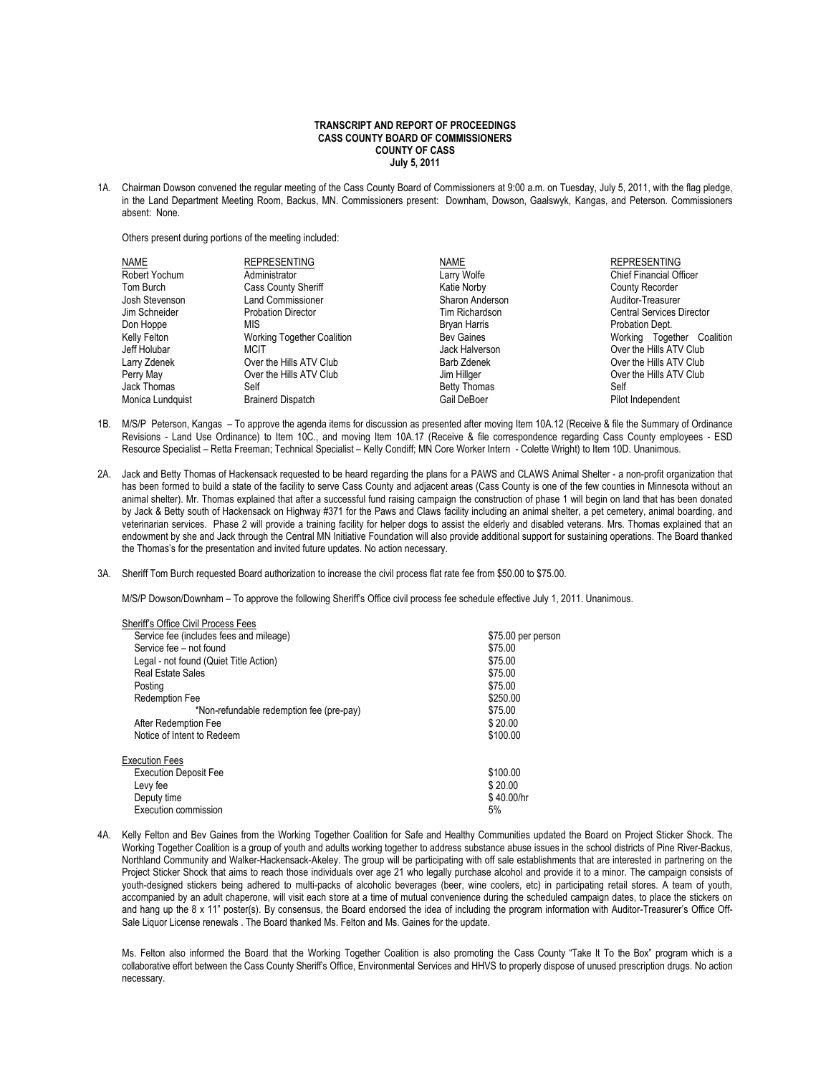## **TRANSCRIPT AND REPORT OF PROCEEDINGS CASS COUNTY BOARD OF COMMISSIONERS COUNTY OF CASS July 5, 2011**

1A. Chairman Dowson convened the regular meeting of the Cass County Board of Commissioners at 9:00 a.m. on Tuesday, July 5, 2011, with the flag pledge, in the Land Department Meeting Room, Backus, MN. Commissioners present: Downham, Dowson, Gaalswyk, Kangas, and Peterson. Commissioners absent: None.

Others present during portions of the meeting included:

| <b>NAME</b>      | <b>REPRESENTING</b>               | <b>NAME</b>         | <b>REPRESENTING</b>              |
|------------------|-----------------------------------|---------------------|----------------------------------|
| Robert Yochum    | Administrator                     | Larry Wolfe         | <b>Chief Financial Officer</b>   |
| Tom Burch        | <b>Cass County Sheriff</b>        | Katie Norby         | County Recorder                  |
| Josh Stevenson   | <b>Land Commissioner</b>          | Sharon Anderson     | Auditor-Treasurer                |
| Jim Schneider    | <b>Probation Director</b>         | Tim Richardson      | <b>Central Services Director</b> |
| Don Hoppe        | MIS                               | Bryan Harris        | Probation Dept.                  |
| Kelly Felton     | <b>Working Together Coalition</b> | <b>Bev Gaines</b>   | Working Together Coalition       |
| Jeff Holubar     | <b>MCIT</b>                       | Jack Halverson      | Over the Hills ATV Club          |
| Larry Zdenek     | Over the Hills ATV Club           | Barb Zdenek         | Over the Hills ATV Club          |
| Perry May        | Over the Hills ATV Club           | Jim Hillger         | Over the Hills ATV Club          |
| Jack Thomas      | Self                              | <b>Betty Thomas</b> | Self                             |
| Monica Lundquist | <b>Brainerd Dispatch</b>          | Gail DeBoer         | Pilot Independent                |

- 1B. M/S/P Peterson, Kangas To approve the agenda items for discussion as presented after moving Item 10A.12 (Receive & file the Summary of Ordinance Revisions - Land Use Ordinance) to Item 10C., and moving Item 10A.17 (Receive & file correspondence regarding Cass County employees - ESD Resource Specialist – Retta Freeman; Technical Specialist – Kelly Condiff; MN Core Worker Intern - Colette Wright) to Item 10D. Unanimous.
- 2A. Jack and Betty Thomas of Hackensack requested to be heard regarding the plans for a PAWS and CLAWS Animal Shelter a non-profit organization that has been formed to build a state of the facility to serve Cass County and adjacent areas (Cass County is one of the few counties in Minnesota without an animal shelter). Mr. Thomas explained that after a successful fund raising campaign the construction of phase 1 will begin on land that has been donated by Jack & Betty south of Hackensack on Highway #371 for the Paws and Claws facility including an animal shelter, a pet cemetery, animal boarding, and veterinarian services. Phase 2 will provide a training facility for helper dogs to assist the elderly and disabled veterans. Mrs. Thomas explained that an endowment by she and Jack through the Central MN Initiative Foundation will also provide additional support for sustaining operations. The Board thanked the Thomas's for the presentation and invited future updates. No action necessary.
- 3A. Sheriff Tom Burch requested Board authorization to increase the civil process flat rate fee from \$50.00 to \$75.00.

M/S/P Dowson/Downham – To approve the following Sheriff's Office civil process fee schedule effective July 1, 2011. Unanimous.

| Sheriff's Office Civil Process Fees      |                    |
|------------------------------------------|--------------------|
| Service fee (includes fees and mileage)  | \$75.00 per person |
| Service fee - not found                  | \$75.00            |
| Legal - not found (Quiet Title Action)   | \$75.00            |
| <b>Real Estate Sales</b>                 | \$75.00            |
| Posting                                  | \$75.00            |
| <b>Redemption Fee</b>                    | \$250.00           |
| *Non-refundable redemption fee (pre-pay) | \$75.00            |
| After Redemption Fee                     | \$20.00            |
| Notice of Intent to Redeem               | \$100.00           |
| <b>Execution Fees</b>                    |                    |
| <b>Execution Deposit Fee</b>             | \$100.00           |
| Levy fee                                 | \$20.00            |
| Deputy time                              | \$40.00/hr         |
| Execution commission                     | 5%                 |

4A. Kelly Felton and Bev Gaines from the Working Together Coalition for Safe and Healthy Communities updated the Board on Project Sticker Shock. The Working Together Coalition is a group of youth and adults working together to address substance abuse issues in the school districts of Pine River-Backus, Northland Community and Walker-Hackensack-Akeley. The group will be participating with off sale establishments that are interested in partnering on the Project Sticker Shock that aims to reach those individuals over age 21 who legally purchase alcohol and provide it to a minor. The campaign consists of youth-designed stickers being adhered to multi-packs of alcoholic beverages (beer, wine coolers, etc) in participating retail stores. A team of youth, accompanied by an adult chaperone, will visit each store at a time of mutual convenience during the scheduled campaign dates, to place the stickers on and hang up the 8 x 11" poster(s). By consensus, the Board endorsed the idea of including the program information with Auditor-Treasurer's Office Off-Sale Liquor License renewals . The Board thanked Ms. Felton and Ms. Gaines for the update.

Ms. Felton also informed the Board that the Working Together Coalition is also promoting the Cass County "Take It To the Box" program which is a collaborative effort between the Cass County Sheriff's Office, Environmental Services and HHVS to properly dispose of unused prescription drugs. No action necessary.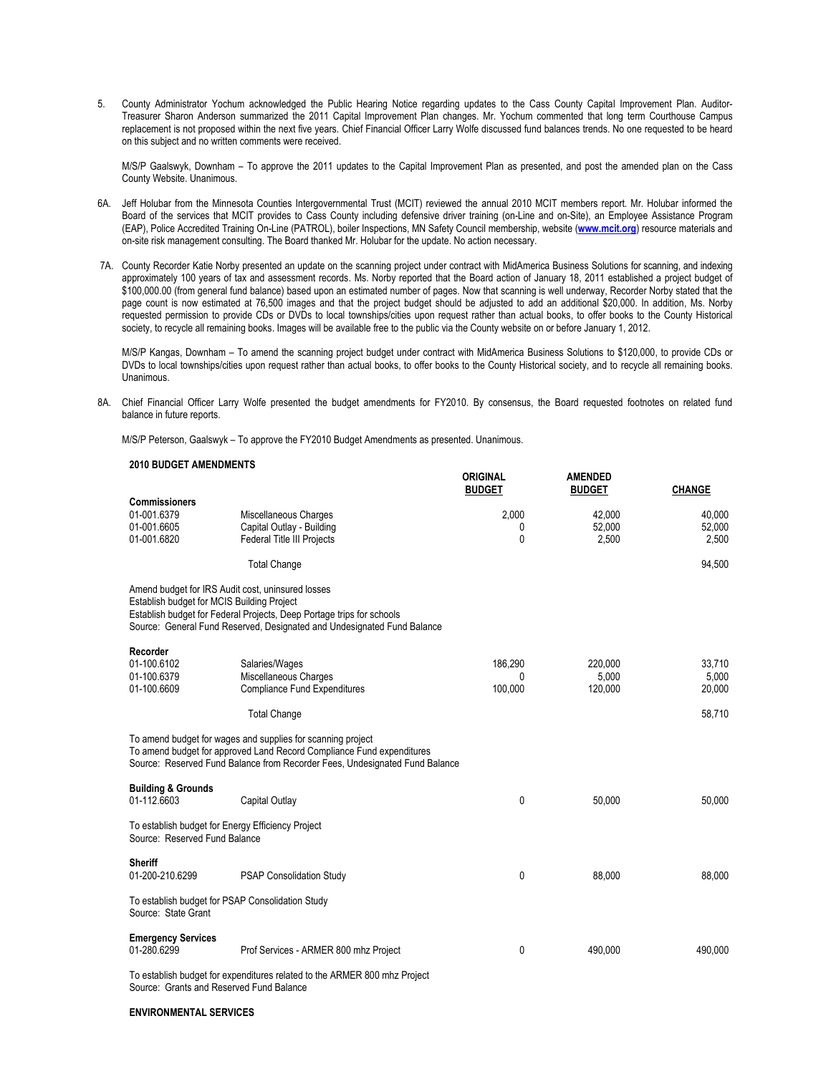5. County Administrator Yochum acknowledged the Public Hearing Notice regarding updates to the Cass County Capital Improvement Plan. Auditor-Treasurer Sharon Anderson summarized the 2011 Capital Improvement Plan changes. Mr. Yochum commented that long term Courthouse Campus replacement is not proposed within the next five years. Chief Financial Officer Larry Wolfe discussed fund balances trends. No one requested to be heard on this subject and no written comments were received.

M/S/P Gaalswyk, Downham – To approve the 2011 updates to the Capital Improvement Plan as presented, and post the amended plan on the Cass County Website. Unanimous.

- 6A. Jeff Holubar from the Minnesota Counties Intergovernmental Trust (MCIT) reviewed the annual 2010 MCIT members report. Mr. Holubar informed the Board of the services that MCIT provides to Cass County including defensive driver training (on-Line and on-Site), an Employee Assistance Program (EAP), Police Accredited Training On-Line (PATROL), boiler Inspections, MN Safety Council membership, website (**[www.mcit.org](http://www.mcit.org/)**) resource materials and on-site risk management consulting. The Board thanked Mr. Holubar for the update. No action necessary.
- 7A. County Recorder Katie Norby presented an update on the scanning project under contract with MidAmerica Business Solutions for scanning, and indexing approximately 100 years of tax and assessment records. Ms. Norby reported that the Board action of January 18, 2011 established a project budget of \$100,000.00 (from general fund balance) based upon an estimated number of pages. Now that scanning is well underway, Recorder Norby stated that the page count is now estimated at 76,500 images and that the project budget should be adjusted to add an additional \$20,000. In addition, Ms. Norby requested permission to provide CDs or DVDs to local townships/cities upon request rather than actual books, to offer books to the County Historical society, to recycle all remaining books. Images will be available free to the public via the County website on or before January 1, 2012.

M/S/P Kangas, Downham – To amend the scanning project budget under contract with MidAmerica Business Solutions to \$120,000, to provide CDs or DVDs to local townships/cities upon request rather than actual books, to offer books to the County Historical society, and to recycle all remaining books. Unanimous.

**ORIGINAL AMENDED**

8A. Chief Financial Officer Larry Wolfe presented the budget amendments for FY2010. By consensus, the Board requested footnotes on related fund balance in future reports.

M/S/P Peterson, Gaalswyk – To approve the FY2010 Budget Amendments as presented. Unanimous.

## **2010 BUDGET AMENDMENTS**

|                                                                                                 |                                                                                                                                                                                                                     | <b>BUDGET</b>           | <b>BUDGET</b>               | <b>CHANGE</b>             |
|-------------------------------------------------------------------------------------------------|---------------------------------------------------------------------------------------------------------------------------------------------------------------------------------------------------------------------|-------------------------|-----------------------------|---------------------------|
| <b>Commissioners</b><br>01-001.6379<br>01-001.6605<br>01-001.6820                               | Miscellaneous Charges<br>Capital Outlay - Building<br><b>Federal Title III Projects</b>                                                                                                                             | 2,000<br>0<br>0         | 42,000<br>52,000<br>2,500   | 40,000<br>52,000<br>2,500 |
|                                                                                                 | <b>Total Change</b>                                                                                                                                                                                                 |                         |                             | 94,500                    |
| Amend budget for IRS Audit cost, uninsured losses<br>Establish budget for MCIS Building Project | Establish budget for Federal Projects, Deep Portage trips for schools<br>Source: General Fund Reserved, Designated and Undesignated Fund Balance                                                                    |                         |                             |                           |
| Recorder<br>01-100.6102<br>01-100.6379<br>01-100.6609                                           | Salaries/Wages<br>Miscellaneous Charges<br><b>Compliance Fund Expenditures</b>                                                                                                                                      | 186.290<br>0<br>100,000 | 220,000<br>5,000<br>120,000 | 33,710<br>5,000<br>20,000 |
|                                                                                                 | <b>Total Change</b>                                                                                                                                                                                                 |                         |                             | 58,710                    |
|                                                                                                 | To amend budget for wages and supplies for scanning project<br>To amend budget for approved Land Record Compliance Fund expenditures<br>Source: Reserved Fund Balance from Recorder Fees, Undesignated Fund Balance |                         |                             |                           |
| <b>Building &amp; Grounds</b><br>01-112.6603                                                    | Capital Outlay                                                                                                                                                                                                      | 0                       | 50,000                      | 50,000                    |
| To establish budget for Energy Efficiency Project<br>Source: Reserved Fund Balance              |                                                                                                                                                                                                                     |                         |                             |                           |
| <b>Sheriff</b><br>01-200-210.6299                                                               | <b>PSAP Consolidation Study</b>                                                                                                                                                                                     | 0                       | 88,000                      | 88,000                    |
| To establish budget for PSAP Consolidation Study<br>Source: State Grant                         |                                                                                                                                                                                                                     |                         |                             |                           |
| <b>Emergency Services</b><br>01-280.6299                                                        | Prof Services - ARMER 800 mhz Project                                                                                                                                                                               | 0                       | 490,000                     | 490,000                   |
|                                                                                                 | To establish budget for expenditures related to the ARMER 800 mhz Project                                                                                                                                           |                         |                             |                           |

Source: Grants and Reserved Fund Balance

## **ENVIRONMENTAL SERVICES**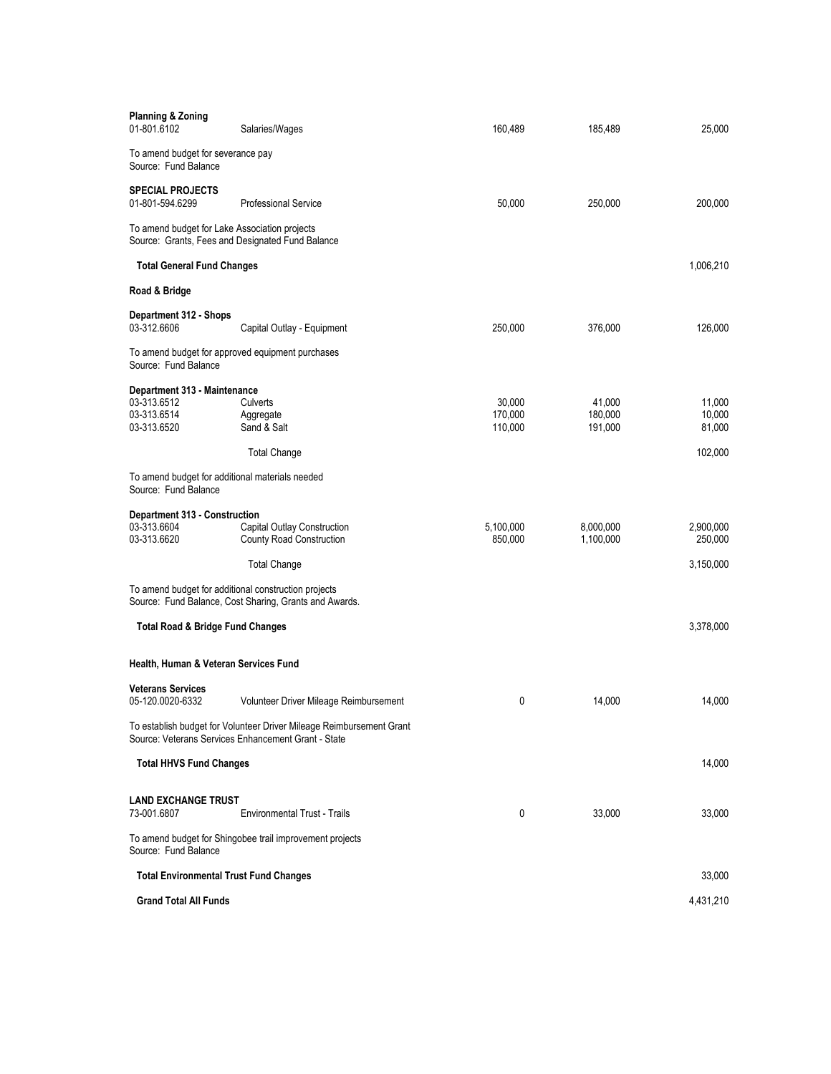| <b>Planning &amp; Zoning</b><br>01-801.6102                                                                                 | Salaries/Wages                                                 | 160,489                      | 185,489                      | 25,000                     |  |  |
|-----------------------------------------------------------------------------------------------------------------------------|----------------------------------------------------------------|------------------------------|------------------------------|----------------------------|--|--|
| To amend budget for severance pay<br>Source: Fund Balance                                                                   |                                                                |                              |                              |                            |  |  |
| <b>SPECIAL PROJECTS</b><br>01-801-594.6299                                                                                  | <b>Professional Service</b>                                    | 50,000                       | 250,000                      | 200,000                    |  |  |
| To amend budget for Lake Association projects<br>Source: Grants, Fees and Designated Fund Balance                           |                                                                |                              |                              |                            |  |  |
| <b>Total General Fund Changes</b>                                                                                           |                                                                |                              |                              | 1,006,210                  |  |  |
| Road & Bridge                                                                                                               |                                                                |                              |                              |                            |  |  |
| Department 312 - Shops<br>03-312.6606                                                                                       | Capital Outlay - Equipment                                     | 250,000                      | 376,000                      | 126,000                    |  |  |
| To amend budget for approved equipment purchases<br>Source: Fund Balance                                                    |                                                                |                              |                              |                            |  |  |
| Department 313 - Maintenance<br>03-313.6512<br>03-313.6514<br>03-313.6520                                                   | Culverts<br>Aggregate<br>Sand & Salt                           | 30.000<br>170,000<br>110,000 | 41,000<br>180,000<br>191,000 | 11,000<br>10,000<br>81,000 |  |  |
|                                                                                                                             | <b>Total Change</b>                                            |                              |                              | 102,000                    |  |  |
| To amend budget for additional materials needed<br>Source: Fund Balance                                                     |                                                                |                              |                              |                            |  |  |
| Department 313 - Construction                                                                                               |                                                                |                              |                              |                            |  |  |
| 03-313.6604<br>03-313.6620                                                                                                  | Capital Outlay Construction<br><b>County Road Construction</b> | 5,100,000<br>850,000         | 8,000,000<br>1,100,000       | 2,900,000<br>250,000       |  |  |
|                                                                                                                             | <b>Total Change</b>                                            |                              |                              | 3,150,000                  |  |  |
| To amend budget for additional construction projects                                                                        | Source: Fund Balance, Cost Sharing, Grants and Awards.         |                              |                              |                            |  |  |
| <b>Total Road &amp; Bridge Fund Changes</b>                                                                                 |                                                                |                              |                              | 3,378,000                  |  |  |
| Health, Human & Veteran Services Fund                                                                                       |                                                                |                              |                              |                            |  |  |
| <b>Veterans Services</b>                                                                                                    |                                                                |                              |                              |                            |  |  |
| 05-120.0020-6332                                                                                                            | Volunteer Driver Mileage Reimbursement                         | 0                            | 14,000                       | 14,000                     |  |  |
| To establish budget for Volunteer Driver Mileage Reimbursement Grant<br>Source: Veterans Services Enhancement Grant - State |                                                                |                              |                              |                            |  |  |
| <b>Total HHVS Fund Changes</b>                                                                                              |                                                                |                              |                              | 14,000                     |  |  |
| <b>LAND EXCHANGE TRUST</b>                                                                                                  |                                                                |                              |                              |                            |  |  |
| 73-001.6807                                                                                                                 | <b>Environmental Trust - Trails</b>                            | 0                            | 33,000                       | 33,000                     |  |  |
| To amend budget for Shingobee trail improvement projects<br>Source: Fund Balance                                            |                                                                |                              |                              |                            |  |  |
| <b>Total Environmental Trust Fund Changes</b>                                                                               |                                                                |                              |                              | 33,000                     |  |  |
| <b>Grand Total All Funds</b>                                                                                                |                                                                |                              |                              | 4,431,210                  |  |  |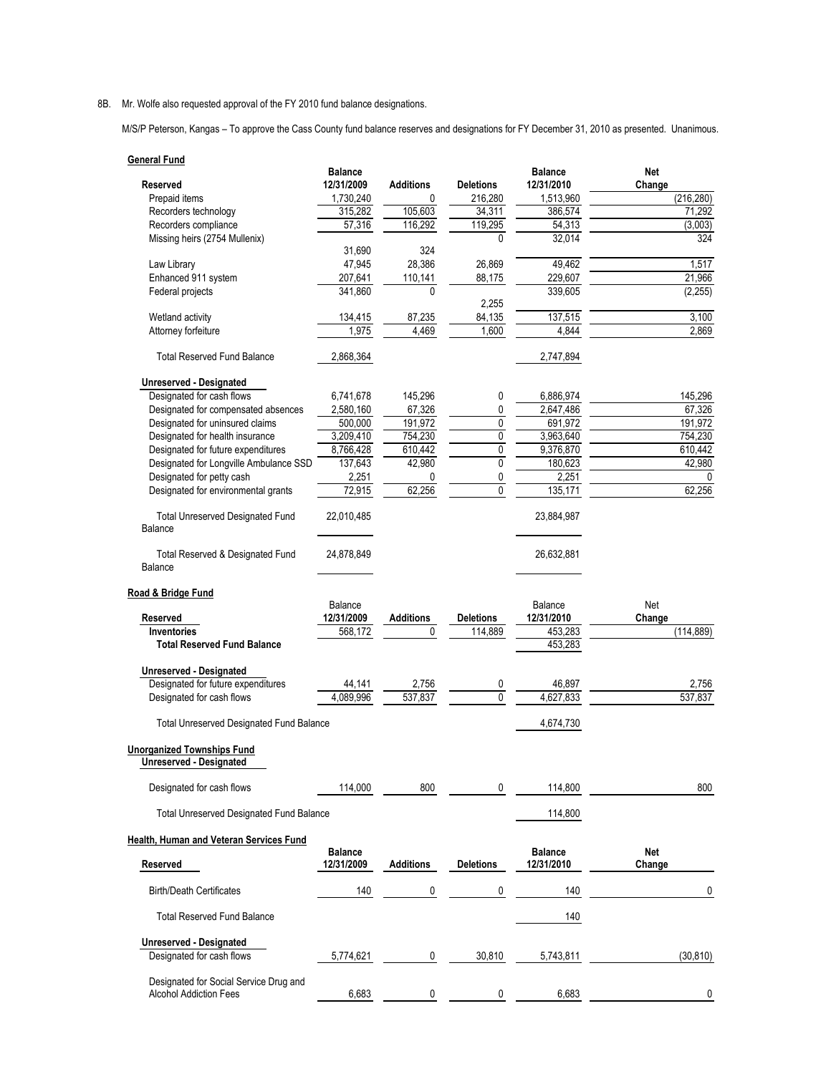8B. Mr. Wolfe also requested approval of the FY 2010 fund balance designations.

M/S/P Peterson, Kangas – To approve the Cass County fund balance reserves and designations for FY December 31, 2010 as presented. Unanimous.

| <b>General Fund</b>                                          |                              |                  |                  |                              |                      |
|--------------------------------------------------------------|------------------------------|------------------|------------------|------------------------------|----------------------|
| <b>Reserved</b>                                              | <b>Balance</b><br>12/31/2009 | <b>Additions</b> | <b>Deletions</b> | <b>Balance</b><br>12/31/2010 | Net                  |
| Prepaid items                                                | 1,730,240                    | 0                | 216,280          | 1,513,960                    | Change<br>(216, 280) |
| Recorders technology                                         | 315,282                      | 105,603          | 34,311           | 386,574                      | 71,292               |
| Recorders compliance                                         | 57,316                       | 116,292          | 119,295          | 54,313                       | (3,003)              |
| Missing heirs (2754 Mullenix)                                |                              |                  | 0                | 32,014                       | 324                  |
|                                                              | 31,690                       | 324              |                  |                              |                      |
| Law Library                                                  | 47,945                       | 28,386           | 26,869           | 49,462                       | 1,517                |
| Enhanced 911 system                                          | 207,641                      | 110,141          | 88,175           | 229,607                      | 21,966               |
| Federal projects                                             | 341,860                      | 0                |                  | 339,605                      | (2, 255)             |
|                                                              |                              |                  | 2,255            |                              |                      |
| Wetland activity                                             | 134,415                      | 87,235           | 84,135           | 137,515                      | 3,100                |
| Attorney forfeiture                                          | 1,975                        | 4,469            | 1,600            | 4,844                        | 2,869                |
| <b>Total Reserved Fund Balance</b>                           | 2,868,364                    |                  |                  | 2,747,894                    |                      |
|                                                              |                              |                  |                  |                              |                      |
| Unreserved - Designated<br>Designated for cash flows         | 6,741,678                    | 145,296          | 0                | 6,886,974                    | 145,296              |
| Designated for compensated absences                          | 2,580,160                    | 67,326           | 0                | 2,647,486                    | 67,326               |
| Designated for uninsured claims                              | 500,000                      | 191,972          | 0                | 691,972                      | 191,972              |
| Designated for health insurance                              | 3,209,410                    | 754,230          | $\pmb{0}$        | 3,963,640                    | 754,230              |
| Designated for future expenditures                           | 8,766,428                    | 610,442          | 0                | 9,376,870                    | 610,442              |
| Designated for Longville Ambulance SSD                       | 137,643                      | 42,980           | 0                | 180,623                      | 42,980               |
| Designated for petty cash                                    | 2,251                        | 0                | 0                | 2,251                        | $\Omega$             |
| Designated for environmental grants                          | 72,915                       | 62,256           | 0                | 135,171                      | 62,256               |
|                                                              |                              |                  |                  |                              |                      |
| <b>Total Unreserved Designated Fund</b><br>Balance           | 22,010,485                   |                  |                  | 23,884,987                   |                      |
| Total Reserved & Designated Fund<br>Balance                  | 24,878,849                   |                  |                  | 26,632,881                   |                      |
|                                                              |                              |                  |                  |                              |                      |
| Road & Bridge Fund                                           | Balance                      |                  |                  | Balance                      | Net                  |
| Reserved                                                     | 12/31/2009                   | <b>Additions</b> | <b>Deletions</b> | 12/31/2010                   | Change               |
| <b>Inventories</b>                                           | 568,172                      | 0                | 114,889          | 453,283                      | (114, 889)           |
| <b>Total Reserved Fund Balance</b>                           |                              |                  |                  | 453,283                      |                      |
|                                                              |                              |                  |                  |                              |                      |
| Unreserved - Designated                                      |                              |                  |                  |                              |                      |
| Designated for future expenditures                           | 44,141                       | 2,756            | 0                | 46,897                       | 2,756                |
| Designated for cash flows                                    | 4.089.996                    | 537.837          | $\overline{0}$   | 4,627,833                    | 537.837              |
| <b>Total Unreserved Designated Fund Balance</b>              |                              |                  |                  | 4,674,730                    |                      |
|                                                              |                              |                  |                  |                              |                      |
| <b>Unorganized Townships Fund</b><br>Unreserved - Designated |                              |                  |                  |                              |                      |
| Designated for cash flows                                    | 114,000                      | 800              | 0                | 114,800                      | 800                  |
| <b>Total Unreserved Designated Fund Balance</b>              |                              |                  |                  | 114,800                      |                      |
| Health, Human and Veteran Services Fund                      |                              |                  |                  |                              |                      |
|                                                              | <b>Balance</b>               |                  |                  | <b>Balance</b>               | Net                  |
| Reserved                                                     | 12/31/2009                   | <b>Additions</b> | <b>Deletions</b> | 12/31/2010                   | Change               |
| <b>Birth/Death Certificates</b>                              | 140                          | 0                | 0                | 140                          | 0                    |
| <b>Total Reserved Fund Balance</b>                           |                              |                  |                  | 140                          |                      |
| Unreserved - Designated                                      |                              |                  |                  |                              |                      |
| Designated for cash flows                                    | 5,774,621                    | 0                | 30,810           | 5,743,811                    | (30, 810)            |
|                                                              |                              |                  |                  |                              |                      |
| Designated for Social Service Drug and                       |                              |                  |                  |                              |                      |
| <b>Alcohol Addiction Fees</b>                                | 6,683                        | 0                | 0                | 6,683                        | 0                    |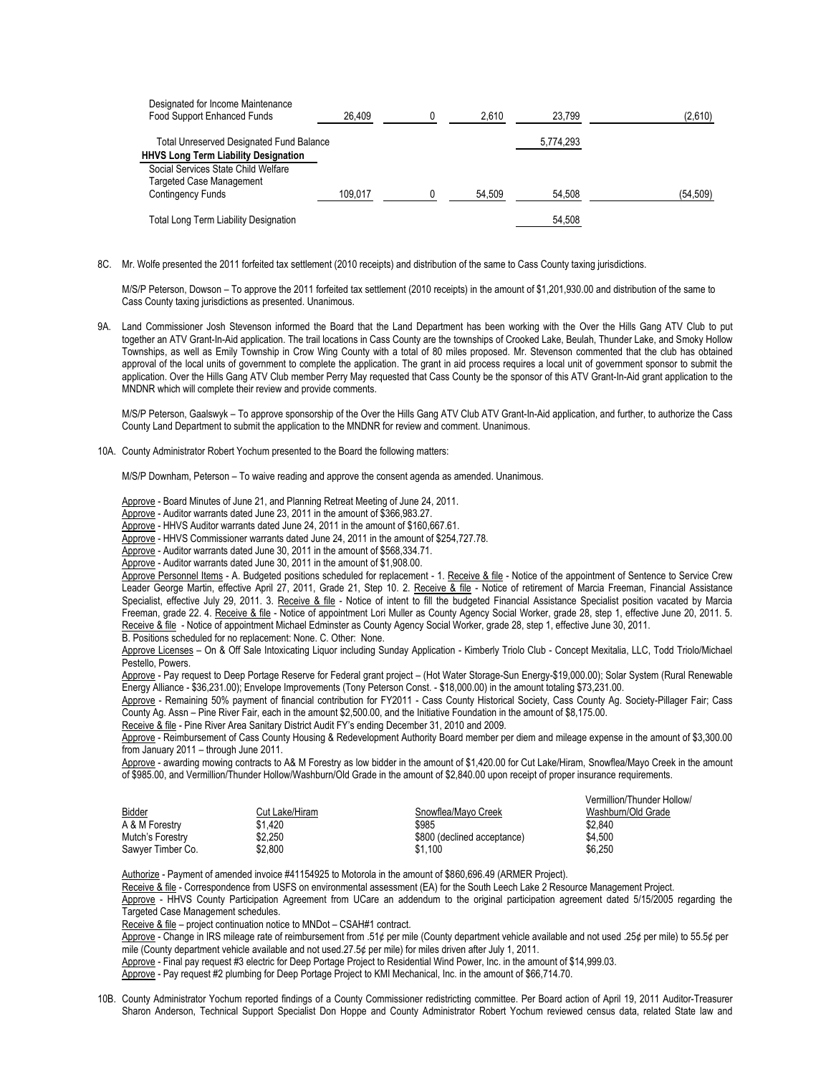| Designated for Income Maintenance<br>Food Support Enhanced Funds | 26.409  | 2.610  | 23.799    | (2,610)  |
|------------------------------------------------------------------|---------|--------|-----------|----------|
| Total Unreserved Designated Fund Balance                         |         |        | 5,774,293 |          |
| <b>HHVS Long Term Liability Designation</b>                      |         |        |           |          |
| Social Services State Child Welfare                              |         |        |           |          |
| <b>Targeted Case Management</b>                                  |         |        |           |          |
| <b>Contingency Funds</b>                                         | 109.017 | 54.509 | 54.508    | (54,509) |
| <b>Total Long Term Liability Designation</b>                     |         |        | 54.508    |          |

8C. Mr. Wolfe presented the 2011 forfeited tax settlement (2010 receipts) and distribution of the same to Cass County taxing jurisdictions.

M/S/P Peterson, Dowson – To approve the 2011 forfeited tax settlement (2010 receipts) in the amount of \$1,201,930.00 and distribution of the same to Cass County taxing jurisdictions as presented. Unanimous.

9A. Land Commissioner Josh Stevenson informed the Board that the Land Department has been working with the Over the Hills Gang ATV Club to put together an ATV Grant-In-Aid application. The trail locations in Cass County are the townships of Crooked Lake, Beulah, Thunder Lake, and Smoky Hollow Townships, as well as Emily Township in Crow Wing County with a total of 80 miles proposed. Mr. Stevenson commented that the club has obtained approval of the local units of government to complete the application. The grant in aid process requires a local unit of government sponsor to submit the application. Over the Hills Gang ATV Club member Perry May requested that Cass County be the sponsor of this ATV Grant-In-Aid grant application to the MNDNR which will complete their review and provide comments.

M/S/P Peterson, Gaalswyk – To approve sponsorship of the Over the Hills Gang ATV Club ATV Grant-In-Aid application, and further, to authorize the Cass County Land Department to submit the application to the MNDNR for review and comment. Unanimous.

10A. County Administrator Robert Yochum presented to the Board the following matters:

M/S/P Downham, Peterson – To waive reading and approve the consent agenda as amended. Unanimous.

Approve - Board Minutes of June 21, and Planning Retreat Meeting of June 24, 2011.

Approve - Auditor warrants dated June 23, 2011 in the amount of \$366,983.27.

Approve - HHVS Auditor warrants dated June 24, 2011 in the amount of \$160,667.61.

Approve - HHVS Commissioner warrants dated June 24, 2011 in the amount of \$254,727.78.

Approve - Auditor warrants dated June 30, 2011 in the amount of \$568,334.71.

Approve - Auditor warrants dated June 30, 2011 in the amount of \$1,908.00.

Approve Personnel Items - A. Budgeted positions scheduled for replacement - 1. Receive & file - Notice of the appointment of Sentence to Service Crew Leader George Martin, effective April 27, 2011, Grade 21, Step 10. 2. Receive & file - Notice of retirement of Marcia Freeman, Financial Assistance Specialist, effective July 29, 2011. 3. Receive & file - Notice of intent to fill the budgeted Financial Assistance Specialist position vacated by Marcia Freeman, grade 22. 4. Receive & file - Notice of appointment Lori Muller as County Agency Social Worker, grade 28, step 1, effective June 20, 2011. 5. Receive & file - Notice of appointment Michael Edminster as County Agency Social Worker, grade 28, step 1, effective June 30, 2011. B. Positions scheduled for no replacement: None. C. Other: None.

Approve Licenses - On & Off Sale Intoxicating Liquor including Sunday Application - Kimberly Triolo Club - Concept Mexitalia, LLC, Todd Triolo/Michael Pestello, Powers.

Approve - Pay request to Deep Portage Reserve for Federal grant project – (Hot Water Storage-Sun Energy-\$19,000.00); Solar System (Rural Renewable Energy Alliance - \$36,231.00); Envelope Improvements (Tony Peterson Const. - \$18,000.00) in the amount totaling \$73,231.00.

Approve - Remaining 50% payment of financial contribution for FY2011 - Cass County Historical Society, Cass County Ag. Society-Pillager Fair; Cass County Ag. Assn – Pine River Fair, each in the amount \$2,500.00, and the Initiative Foundation in the amount of \$8,175.00.

Receive & file - Pine River Area Sanitary District Audit FY's ending December 31, 2010 and 2009.

Approve - Reimbursement of Cass County Housing & Redevelopment Authority Board member per diem and mileage expense in the amount of \$3,300.00 from January 2011 – through June 2011.

Approve - awarding mowing contracts to A& M Forestry as low bidder in the amount of \$1,420.00 for Cut Lake/Hiram, Snowflea/Mayo Creek in the amount of \$985.00, and Vermillion/Thunder Hollow/Washburn/Old Grade in the amount of \$2,840.00 upon receipt of proper insurance requirements.

| <b>Bidder</b>     | Cut Lake/Hiram | Snowflea/Mavo Creek         | Vermillion/Thunder Hollow/<br>Washburn/Old Grade |
|-------------------|----------------|-----------------------------|--------------------------------------------------|
| A & M Forestry    | \$1.420        | \$985                       | \$2.840                                          |
| Mutch's Forestry  | \$2.250        | \$800 (declined acceptance) | \$4.500                                          |
| Sawver Timber Co. | \$2.800        | \$1.100                     | \$6.250                                          |

Authorize - Payment of amended invoice #41154925 to Motorola in the amount of \$860,696.49 (ARMER Project).

Receive & file - Correspondence from USFS on environmental assessment (EA) for the South Leech Lake 2 Resource Management Project.

Approve - HHVS County Participation Agreement from UCare an addendum to the original participation agreement dated 5/15/2005 regarding the Targeted Case Management schedules.

Receive & file – project continuation notice to MNDot – CSAH#1 contract.

Approve - Change in IRS mileage rate of reimbursement from .51¢ per mile (County department vehicle available and not used .25¢ per mile) to 55.5¢ per mile (County department vehicle available and not used 27.5¢ per mile) for miles driven after July 1, 2011.

Approve - Final pay request #3 electric for Deep Portage Project to Residential Wind Power, Inc. in the amount of \$14,999.03.

Approve - Pay request #2 plumbing for Deep Portage Project to KMI Mechanical, Inc. in the amount of \$66,714.70.

10B. County Administrator Yochum reported findings of a County Commissioner redistricting committee. Per Board action of April 19, 2011 Auditor-Treasurer Sharon Anderson, Technical Support Specialist Don Hoppe and County Administrator Robert Yochum reviewed census data, related State law and